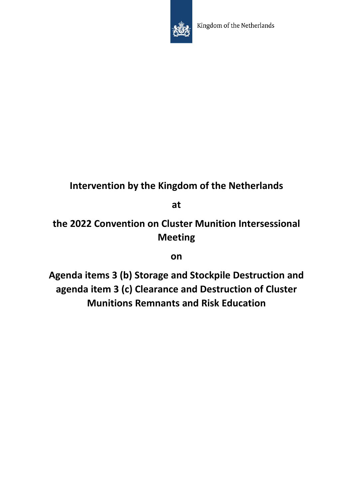

# **Intervention by the Kingdom of the Netherlands**

**at** 

**the 2022 Convention on Cluster Munition Intersessional Meeting** 

# **on**

**Agenda items 3 (b) Storage and Stockpile Destruction and agenda item 3 (c) Clearance and Destruction of Cluster Munitions Remnants and Risk Education**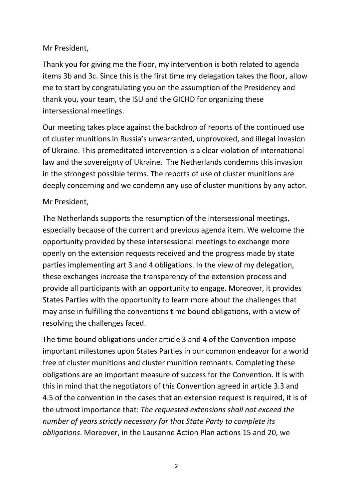#### Mr President,

Thank you for giving me the floor, my intervention is both related to agenda items 3b and 3c. Since this is the first time my delegation takes the floor, allow me to start by congratulating you on the assumption of the Presidency and thank you, your team, the ISU and the GICHD for organizing these intersessional meetings.

Our meeting takes place against the backdrop of reports of the continued use of cluster munitions in Russia's unwarranted, unprovoked, and illegal invasion of Ukraine. This premeditated intervention is a clear violation of international law and the sovereignty of Ukraine. The Netherlands condemns this invasion in the strongest possible terms. The reports of use of cluster munitions are deeply concerning and we condemn any use of cluster munitions by any actor.

## Mr President,

The Netherlands supports the resumption of the intersessional meetings, especially because of the current and previous agenda item. We welcome the opportunity provided by these intersessional meetings to exchange more openly on the extension requests received and the progress made by state parties implementing art 3 and 4 obligations. In the view of my delegation, these exchanges increase the transparency of the extension process and provide all participants with an opportunity to engage. Moreover, it provides States Parties with the opportunity to learn more about the challenges that may arise in fulfilling the conventions time bound obligations, with a view of resolving the challenges faced.

The time bound obligations under article 3 and 4 of the Convention impose important milestones upon States Parties in our common endeavor for a world free of cluster munitions and cluster munition remnants. Completing these obligations are an important measure of success for the Convention. It is with this in mind that the negotiators of this Convention agreed in article 3.3 and 4.5 of the convention in the cases that an extension request is required, it is of the utmost importance that: *The requested extensions shall not exceed the number of years strictly necessary for that State Party to complete its obligations*. Moreover, in the Lausanne Action Plan actions 15 and 20, we